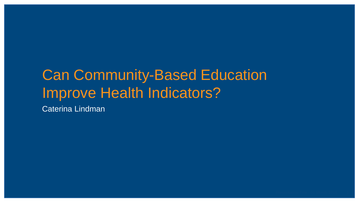# Can Community-Based Education Improve Health Indicators?

Caterina Lindman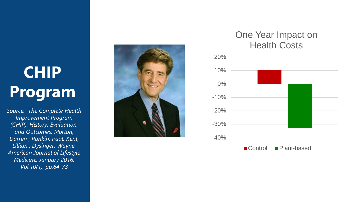### **CHIP Program** *Source: The Complete Health*  **CHIP Program**

*<u>Source: The Complete Health</u> Improvement Program and Outcomes. Morton, (CHIP): History, Evaluation, Darren ; Rankin, Paul; Kent, and Outcomes. Morton, Lillian ; Dysinger, Wayne. Darren ; Rankin, Paul; Kent, American Journal of Lifestyle Lillian ; Dysinger, Wayne. Medicine, January 2016, American Journal of Lifestyle Vol.10(1), pp.64 Medicine, January 2016, Vol.10(1), pp.64 -73* 



### One Year Impact on Health Costs

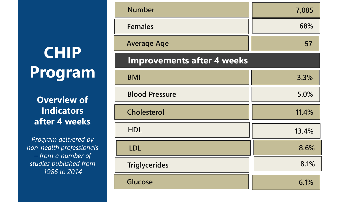## **CHIP**<br>'Adkar **Program CHIP Program**

#### **Solution Conserview of Indicators** *(CHIP): History, Evaluation, and Outcomes. Morton,*  **after 4 weeks**

**Program delivered by** *American Journal of Lifestyle non -health professionals Medicine, January 2016, – from a number of Vol.10(1), pp.64 -73 studies published from 1986 to 2014*

| <b>Number</b>                     | 7,085 |
|-----------------------------------|-------|
| <b>Females</b>                    | 68%   |
| <b>Average Age</b>                | 57    |
| <b>Improvements after 4 weeks</b> |       |
| <b>BMI</b>                        | 3.3%  |
| <b>Blood Pressure</b>             | 5.0%  |
| <b>Cholesterol</b>                | 11.4% |
| <b>HDL</b>                        | 13.4% |
| <b>LDL</b>                        | 8.6%  |
| <b>Triglycerides</b>              | 8.1%  |
| <b>Glucose</b>                    | 6.1%  |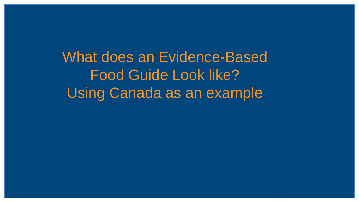What does an Evidence-Based Food Guide Look like? Using Canada as an example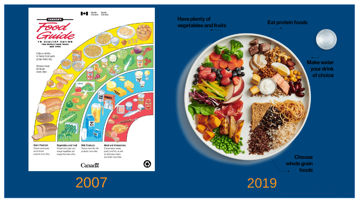